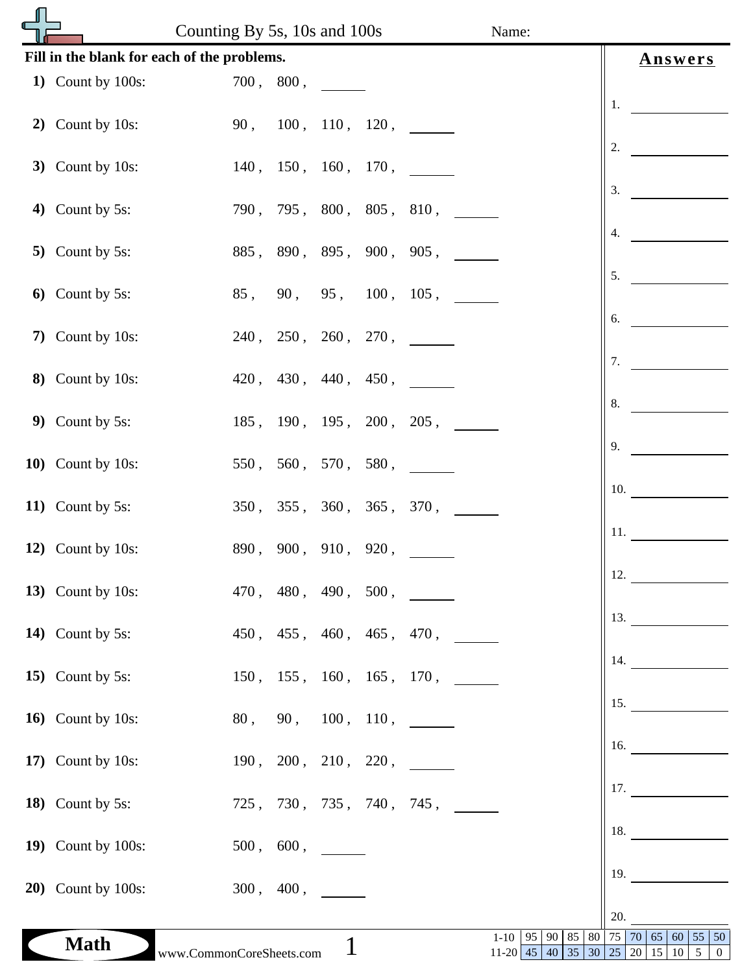|                                             |                            | Counting By 5s, 10s and 100s |                     |             |  |                          | Name:                           |    |                   |                  |     |                                                                       |                |
|---------------------------------------------|----------------------------|------------------------------|---------------------|-------------|--|--------------------------|---------------------------------|----|-------------------|------------------|-----|-----------------------------------------------------------------------|----------------|
| Fill in the blank for each of the problems. |                            |                              |                     |             |  |                          |                                 |    |                   |                  |     | <b>Answers</b>                                                        |                |
|                                             | 1) Count by $100s$ :       |                              | 700, 800,           |             |  |                          |                                 |    |                   |                  |     |                                                                       |                |
|                                             | 2) Count by 10s:           |                              |                     |             |  | 90, 100, 110, 120,       |                                 |    |                   | 1.               |     |                                                                       |                |
|                                             |                            |                              |                     |             |  |                          |                                 |    |                   | 2.               |     |                                                                       |                |
|                                             | 3) Count by $10s$ :        |                              |                     |             |  | 140, 150, 160, 170,      |                                 |    |                   |                  |     |                                                                       |                |
|                                             | 4) Count by 5s:            |                              |                     |             |  | 790, 795, 800, 805, 810, |                                 |    |                   | 3.               |     |                                                                       |                |
|                                             |                            |                              |                     |             |  |                          |                                 |    |                   | $\overline{4}$ . |     |                                                                       |                |
|                                             | 5) Count by $5s$ :         |                              |                     |             |  | 885, 890, 895, 900, 905, |                                 |    |                   | 5.               |     |                                                                       |                |
|                                             | 6) Count by 5 $s$ :        | 85,                          |                     |             |  | 90, 95, 100, 105,        |                                 |    |                   |                  |     |                                                                       |                |
|                                             | 7) Count by 10s:           |                              |                     |             |  | 240, 250, 260, 270,      |                                 |    |                   | 6.               |     |                                                                       |                |
|                                             |                            |                              |                     |             |  |                          |                                 |    |                   | 7.               |     |                                                                       |                |
|                                             | 8) Count by 10s:           |                              | 420, 430, 440, 450, |             |  |                          |                                 |    |                   |                  |     |                                                                       |                |
|                                             | 9) Count by $5s$ :         |                              |                     |             |  | 185, 190, 195, 200, 205, |                                 |    |                   | 8.               |     |                                                                       |                |
|                                             |                            |                              |                     |             |  |                          |                                 |    |                   | 9.               |     |                                                                       |                |
|                                             | 10) Count by 10s:          |                              |                     |             |  | 550, 560, 570, 580,      |                                 |    |                   |                  |     |                                                                       |                |
|                                             | 11) Count by 5s:           |                              |                     |             |  | 350, 355, 360, 365, 370, |                                 |    |                   | 10.              |     |                                                                       |                |
|                                             |                            |                              |                     |             |  |                          |                                 |    |                   | 11.              |     |                                                                       |                |
|                                             | 12) Count by 10s:          |                              | 890, 900, 910, 920, |             |  |                          |                                 |    |                   |                  |     |                                                                       |                |
|                                             | 13) Count by $10s$ :       |                              |                     |             |  | 470, 480, 490, 500,      |                                 |    |                   | 12.              |     |                                                                       |                |
|                                             |                            |                              |                     |             |  |                          |                                 |    |                   | 13.              |     |                                                                       |                |
|                                             | 14) Count by 5s:           |                              |                     |             |  | 450, 455, 460, 465, 470, |                                 |    |                   | 14.              |     |                                                                       |                |
|                                             | 15) Count by 5s:           |                              |                     |             |  | 150, 155, 160, 165, 170, |                                 |    |                   |                  |     |                                                                       |                |
|                                             | 16) Count by 10s:          | 80,                          | 90,                 |             |  | 100, 110,                |                                 |    |                   | 15.              |     |                                                                       |                |
|                                             |                            |                              |                     |             |  |                          |                                 |    |                   | 16.              |     |                                                                       |                |
|                                             | 17) Count by $10s$ :       |                              |                     |             |  | 190, 200, 210, 220,      |                                 |    |                   |                  |     |                                                                       |                |
|                                             | 18) Count by 5s:           |                              |                     |             |  | 725, 730, 735, 740, 745, |                                 |    |                   |                  | 17. |                                                                       |                |
|                                             |                            |                              |                     |             |  |                          |                                 |    |                   |                  | 18. |                                                                       |                |
|                                             | 19) Count by $100s$ :      |                              | 500, 600,           |             |  |                          |                                 |    |                   |                  |     |                                                                       |                |
|                                             | <b>20</b> ) Count by 100s: |                              | 300, 400,           |             |  |                          |                                 |    |                   | 19.              |     |                                                                       |                |
|                                             |                            |                              |                     |             |  |                          |                                 |    |                   | 20.              |     |                                                                       |                |
|                                             | <b>Math</b>                | www.CommonCoreSheets.com     |                     | $\mathbf 1$ |  |                          | $1 - 10$<br>95<br>$11-20$ 45 40 | 90 | 85<br>80<br>35 30 |                  |     | 75 70 65 60 55 50<br>$\mid$ 25 $\mid$ 20 $\mid$ 15 $\mid$ 10 $\mid$ 5 | $\overline{0}$ |